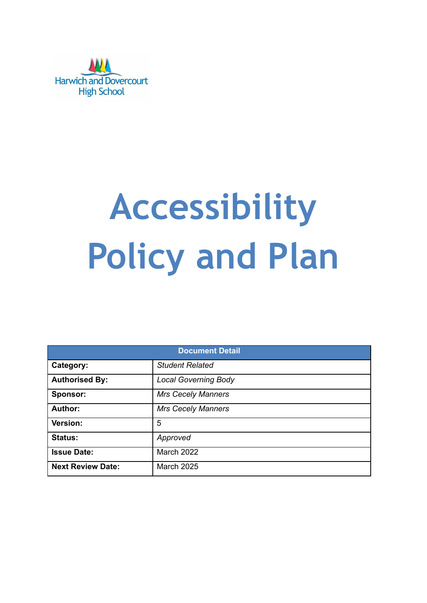

# **Accessibility Policy and Plan**

| <b>Document Detail</b>   |                             |  |
|--------------------------|-----------------------------|--|
| Category:                | <b>Student Related</b>      |  |
| <b>Authorised By:</b>    | <b>Local Governing Body</b> |  |
| Sponsor:                 | <b>Mrs Cecely Manners</b>   |  |
| <b>Author:</b>           | <b>Mrs Cecely Manners</b>   |  |
| Version:                 | 5                           |  |
| <b>Status:</b>           | Approved                    |  |
| <b>Issue Date:</b>       | <b>March 2022</b>           |  |
| <b>Next Review Date:</b> | <b>March 2025</b>           |  |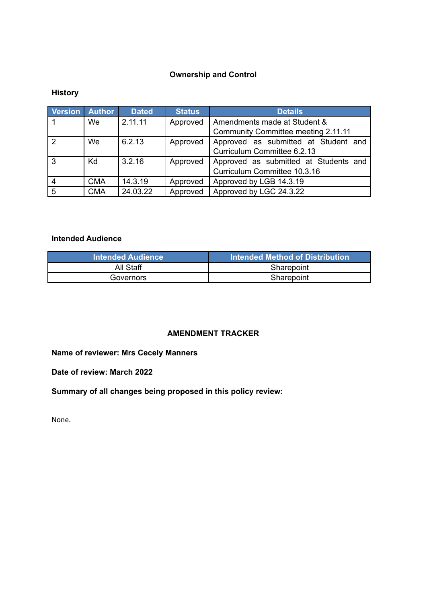# **Ownership and Control**

# **History**

| <b>Version Author</b> |            | <b>Dated</b> | <b>Status</b> | <b>Details</b>                        |
|-----------------------|------------|--------------|---------------|---------------------------------------|
|                       | We         | 2.11.11      | Approved      | Amendments made at Student &          |
|                       |            |              |               | Community Committee meeting 2.11.11   |
| $\overline{2}$        | We         | 6.2.13       | Approved      | Approved as submitted at Student and  |
|                       |            |              |               | Curriculum Committee 6.2.13           |
| -3                    | Kd         | 3.2.16       | Approved      | Approved as submitted at Students and |
|                       |            |              |               | Curriculum Committee 10.3.16          |
| $\overline{4}$        | <b>CMA</b> | 14.3.19      | Approved      | Approved by LGB 14.3.19               |
| 5                     | <b>CMA</b> | 24.03.22     | Approved      | Approved by LGC 24.3.22               |

## **Intended Audience**

| <b>Intended Audience</b> | Intended Method of Distribution |
|--------------------------|---------------------------------|
| All Staff                | Sharepoint                      |
| Governors                | Sharepoint                      |

## **AMENDMENT TRACKER**

# **Name of reviewer: Mrs Cecely Manners**

**Date of review: March 2022**

**Summary of all changes being proposed in this policy review:**

None.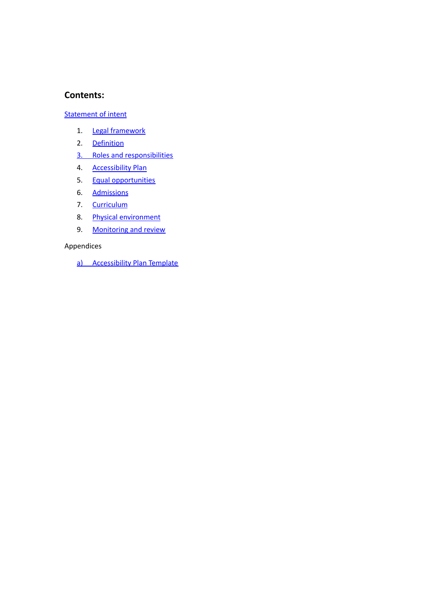## **Contents:**

## **[Statement](#page-3-0) of intent**

- 1. Legal [framework](#page-4-0)
- 2. [Definition](#page-4-1)
- 3. Roles and [responsibilities](#page-5-0)
- 4. [Accessibility](#page-6-0) Plan
- 5. Equal [opportunities](#page-7-0)
- 6. [Admissions](#page-7-1)
- 7. [Curriculum](#page-8-0)
- 8. Physical [environment](#page-8-1)
- 9. [Monitoring](#page-9-0) and review

## Appendices

a) Accessibility Plan Template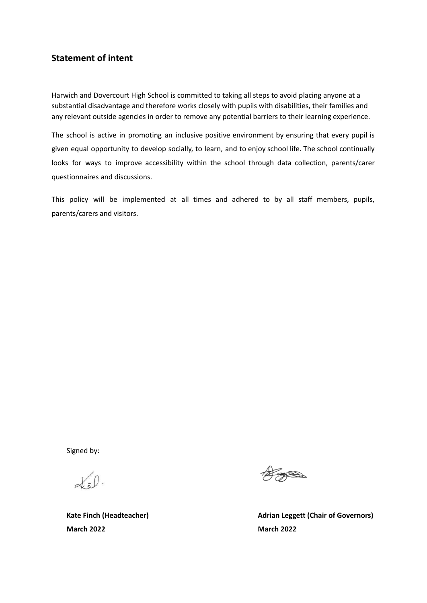# <span id="page-3-0"></span>**Statement of intent**

Harwich and Dovercourt High School is committed to taking all steps to avoid placing anyone at a substantial disadvantage and therefore works closely with pupils with disabilities, their families and any relevant outside agencies in order to remove any potential barriers to their learning experience.

The school is active in promoting an inclusive positive environment by ensuring that every pupil is given equal opportunity to develop socially, to learn, and to enjoy school life. The school continually looks for ways to improve accessibility within the school through data collection, parents/carer questionnaires and discussions.

This policy will be implemented at all times and adhered to by all staff members, pupils, parents/carers and visitors.

Signed by:

 $\alpha_5$  0.

**March 2022 March 2022**

**AREA** 

**Kate Finch** (Headteacher) **Adrian Leggett** (Chair of Governors)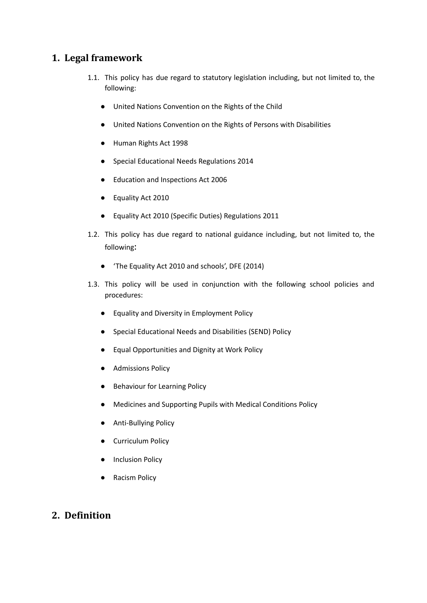# <span id="page-4-0"></span>**1. Legal framework**

- 1.1. This policy has due regard to statutory legislation including, but not limited to, the following:
	- United Nations Convention on the Rights of the Child
	- United Nations Convention on the Rights of Persons with Disabilities
	- Human Rights Act 1998
	- Special Educational Needs Regulations 2014
	- Education and Inspections Act 2006
	- Equality Act 2010
	- Equality Act 2010 (Specific Duties) Regulations 2011
- 1.2. This policy has due regard to national guidance including, but not limited to, the following:
	- 'The Equality Act 2010 and schools', DFE (2014)
- 1.3. This policy will be used in conjunction with the following school policies and procedures:
	- Equality and Diversity in Employment Policy
	- Special Educational Needs and Disabilities (SEND) Policy
	- Equal Opportunities and Dignity at Work Policy
	- Admissions Policy
	- Behaviour for Learning Policy
	- Medicines and Supporting Pupils with Medical Conditions Policy
	- Anti-Bullying Policy
	- **•** Curriculum Policy
	- Inclusion Policy
	- **Racism Policy**

# <span id="page-4-1"></span>**2. Definition**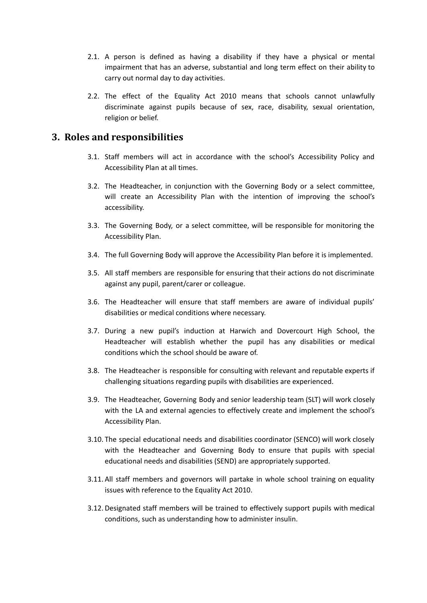- 2.1. A person is defined as having a disability if they have a physical or mental impairment that has an adverse, substantial and long term effect on their ability to carry out normal day to day activities.
- 2.2. The effect of the Equality Act 2010 means that schools cannot unlawfully discriminate against pupils because of sex, race, disability, sexual orientation, religion or belief.

# <span id="page-5-0"></span>**3. Roles and responsibilities**

- 3.1. Staff members will act in accordance with the school's Accessibility Policy and Accessibility Plan at all times.
- 3.2. The Headteacher, in conjunction with the Governing Body or a select committee, will create an Accessibility Plan with the intention of improving the school's accessibility.
- 3.3. The Governing Body, or a select committee, will be responsible for monitoring the Accessibility Plan.
- 3.4. The full Governing Body will approve the Accessibility Plan before it is implemented.
- 3.5. All staff members are responsible for ensuring that their actions do not discriminate against any pupil, parent/carer or colleague.
- 3.6. The Headteacher will ensure that staff members are aware of individual pupils' disabilities or medical conditions where necessary.
- 3.7. During a new pupil's induction at Harwich and Dovercourt High School, the Headteacher will establish whether the pupil has any disabilities or medical conditions which the school should be aware of.
- 3.8. The Headteacher is responsible for consulting with relevant and reputable experts if challenging situations regarding pupils with disabilities are experienced.
- 3.9. The Headteacher, Governing Body and senior leadership team (SLT) will work closely with the LA and external agencies to effectively create and implement the school's Accessibility Plan.
- 3.10. The special educational needs and disabilities coordinator (SENCO) will work closely with the Headteacher and Governing Body to ensure that pupils with special educational needs and disabilities (SEND) are appropriately supported.
- 3.11. All staff members and governors will partake in whole school training on equality issues with reference to the Equality Act 2010.
- 3.12. Designated staff members will be trained to effectively support pupils with medical conditions, such as understanding how to administer insulin.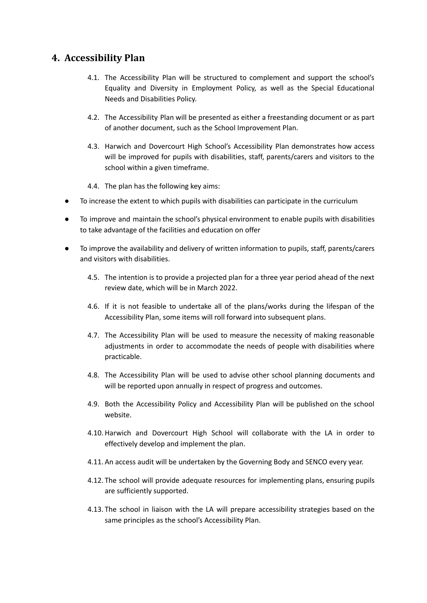# <span id="page-6-0"></span>**4. Accessibility Plan**

- 4.1. The Accessibility Plan will be structured to complement and support the school's Equality and Diversity in Employment Policy, as well as the Special Educational Needs and Disabilities Policy.
- 4.2. The Accessibility Plan will be presented as either a freestanding document or as part of another document, such as the School Improvement Plan.
- 4.3. Harwich and Dovercourt High School's Accessibility Plan demonstrates how access will be improved for pupils with disabilities, staff, parents/carers and visitors to the school within a given timeframe.
- 4.4. The plan has the following key aims:
- To increase the extent to which pupils with disabilities can participate in the curriculum
- To improve and maintain the school's physical environment to enable pupils with disabilities to take advantage of the facilities and education on offer
- To improve the availability and delivery of written information to pupils, staff, parents/carers and visitors with disabilities.
	- 4.5. The intention is to provide a projected plan for a three year period ahead of the next review date, which will be in March 2022.
	- 4.6. If it is not feasible to undertake all of the plans/works during the lifespan of the Accessibility Plan, some items will roll forward into subsequent plans.
	- 4.7. The Accessibility Plan will be used to measure the necessity of making reasonable adjustments in order to accommodate the needs of people with disabilities where practicable.
	- 4.8. The Accessibility Plan will be used to advise other school planning documents and will be reported upon annually in respect of progress and outcomes.
	- 4.9. Both the Accessibility Policy and Accessibility Plan will be published on the school website.
	- 4.10. Harwich and Dovercourt High School will collaborate with the LA in order to effectively develop and implement the plan.
	- 4.11. An access audit will be undertaken by the Governing Body and SENCO every year.
	- 4.12. The school will provide adequate resources for implementing plans, ensuring pupils are sufficiently supported.
	- 4.13. The school in liaison with the LA will prepare accessibility strategies based on the same principles as the school's Accessibility Plan.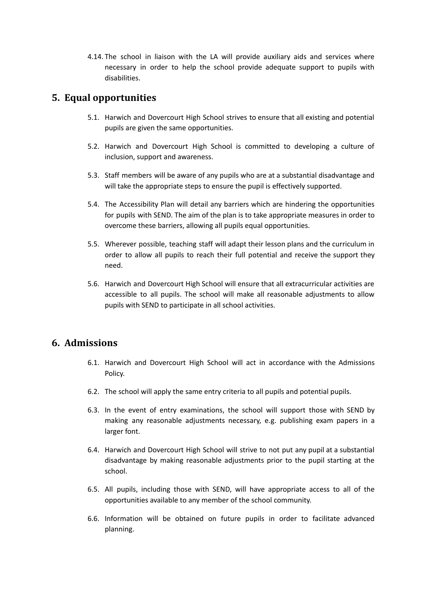4.14. The school in liaison with the LA will provide auxiliary aids and services where necessary in order to help the school provide adequate support to pupils with disabilities.

# <span id="page-7-0"></span>**5. Equal opportunities**

- 5.1. Harwich and Dovercourt High School strives to ensure that all existing and potential pupils are given the same opportunities.
- 5.2. Harwich and Dovercourt High School is committed to developing a culture of inclusion, support and awareness.
- 5.3. Staff members will be aware of any pupils who are at a substantial disadvantage and will take the appropriate steps to ensure the pupil is effectively supported.
- 5.4. The Accessibility Plan will detail any barriers which are hindering the opportunities for pupils with SEND. The aim of the plan is to take appropriate measures in order to overcome these barriers, allowing all pupils equal opportunities.
- 5.5. Wherever possible, teaching staff will adapt their lesson plans and the curriculum in order to allow all pupils to reach their full potential and receive the support they need.
- 5.6. Harwich and Dovercourt High School will ensure that all extracurricular activities are accessible to all pupils. The school will make all reasonable adjustments to allow pupils with SEND to participate in all school activities.

# <span id="page-7-1"></span>**6. Admissions**

- 6.1. Harwich and Dovercourt High School will act in accordance with the Admissions Policy.
- 6.2. The school will apply the same entry criteria to all pupils and potential pupils.
- 6.3. In the event of entry examinations, the school will support those with SEND by making any reasonable adjustments necessary, e.g. publishing exam papers in a larger font.
- 6.4. Harwich and Dovercourt High School will strive to not put any pupil at a substantial disadvantage by making reasonable adjustments prior to the pupil starting at the school.
- 6.5. All pupils, including those with SEND, will have appropriate access to all of the opportunities available to any member of the school community.
- 6.6. Information will be obtained on future pupils in order to facilitate advanced planning.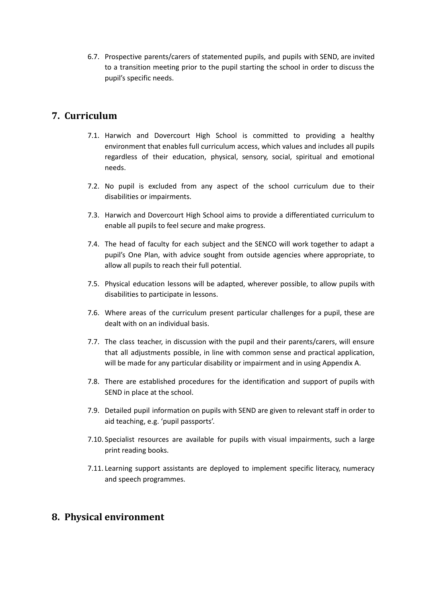6.7. Prospective parents/carers of statemented pupils, and pupils with SEND, are invited to a transition meeting prior to the pupil starting the school in order to discuss the pupil's specific needs.

# <span id="page-8-0"></span>**7. Curriculum**

- 7.1. Harwich and Dovercourt High School is committed to providing a healthy environment that enables full curriculum access, which values and includes all pupils regardless of their education, physical, sensory, social, spiritual and emotional needs.
- 7.2. No pupil is excluded from any aspect of the school curriculum due to their disabilities or impairments.
- 7.3. Harwich and Dovercourt High School aims to provide a differentiated curriculum to enable all pupils to feel secure and make progress.
- 7.4. The head of faculty for each subject and the SENCO will work together to adapt a pupil's One Plan, with advice sought from outside agencies where appropriate, to allow all pupils to reach their full potential.
- 7.5. Physical education lessons will be adapted, wherever possible, to allow pupils with disabilities to participate in lessons.
- 7.6. Where areas of the curriculum present particular challenges for a pupil, these are dealt with on an individual basis.
- 7.7. The class teacher, in discussion with the pupil and their parents/carers, will ensure that all adjustments possible, in line with common sense and practical application, will be made for any particular disability or impairment and in using Appendix A.
- 7.8. There are established procedures for the identification and support of pupils with SEND in place at the school.
- 7.9. Detailed pupil information on pupils with SEND are given to relevant staff in order to aid teaching, e.g. 'pupil passports'.
- 7.10. Specialist resources are available for pupils with visual impairments, such a large print reading books.
- 7.11. Learning support assistants are deployed to implement specific literacy, numeracy and speech programmes.

# <span id="page-8-1"></span>**8. Physical environment**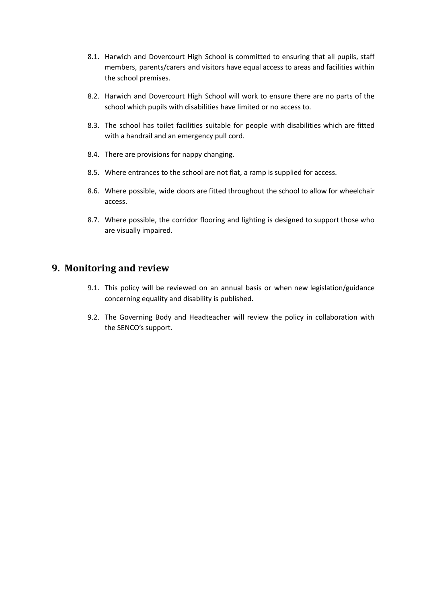- 8.1. Harwich and Dovercourt High School is committed to ensuring that all pupils, staff members, parents/carers and visitors have equal access to areas and facilities within the school premises.
- 8.2. Harwich and Dovercourt High School will work to ensure there are no parts of the school which pupils with disabilities have limited or no access to.
- 8.3. The school has toilet facilities suitable for people with disabilities which are fitted with a handrail and an emergency pull cord.
- 8.4. There are provisions for nappy changing.
- 8.5. Where entrances to the school are not flat, a ramp is supplied for access.
- 8.6. Where possible, wide doors are fitted throughout the school to allow for wheelchair access.
- 8.7. Where possible, the corridor flooring and lighting is designed to support those who are visually impaired.

# <span id="page-9-0"></span>**9. Monitoring and review**

- 9.1. This policy will be reviewed on an annual basis or when new legislation/guidance concerning equality and disability is published.
- 9.2. The Governing Body and Headteacher will review the policy in collaboration with the SENCO's support.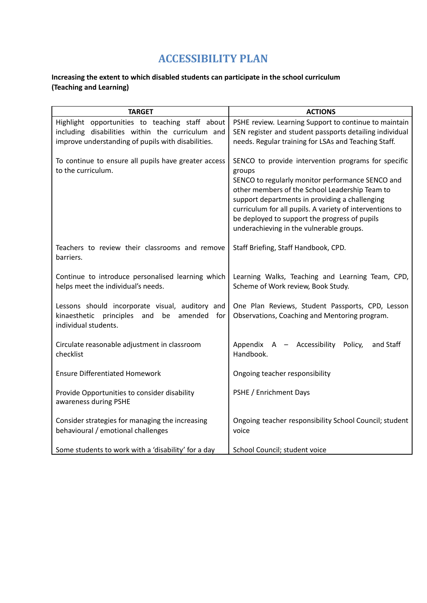# **ACCESSIBILITY PLAN**

# **Increasing the extent to which disabled students can participate in the school curriculum (Teaching and Learning)**

| <b>TARGET</b>                                                                                                                     | <b>ACTIONS</b>                                                                                                                                                                                                                                                                                                                                                                 |
|-----------------------------------------------------------------------------------------------------------------------------------|--------------------------------------------------------------------------------------------------------------------------------------------------------------------------------------------------------------------------------------------------------------------------------------------------------------------------------------------------------------------------------|
| Highlight opportunities to teaching staff about                                                                                   | PSHE review. Learning Support to continue to maintain                                                                                                                                                                                                                                                                                                                          |
| including disabilities within the curriculum and                                                                                  | SEN register and student passports detailing individual<br>needs. Regular training for LSAs and Teaching Staff.                                                                                                                                                                                                                                                                |
| improve understanding of pupils with disabilities.                                                                                |                                                                                                                                                                                                                                                                                                                                                                                |
| To continue to ensure all pupils have greater access<br>to the curriculum.                                                        | SENCO to provide intervention programs for specific<br>groups<br>SENCO to regularly monitor performance SENCO and<br>other members of the School Leadership Team to<br>support departments in providing a challenging<br>curriculum for all pupils. A variety of interventions to<br>be deployed to support the progress of pupils<br>underachieving in the vulnerable groups. |
| Teachers to review their classrooms and remove<br>barriers.                                                                       | Staff Briefing, Staff Handbook, CPD.                                                                                                                                                                                                                                                                                                                                           |
| Continue to introduce personalised learning which<br>helps meet the individual's needs.                                           | Learning Walks, Teaching and Learning Team, CPD,<br>Scheme of Work review, Book Study.                                                                                                                                                                                                                                                                                         |
| Lessons should incorporate visual, auditory and<br>kinaesthetic<br>principles<br>and<br>be<br>amended for<br>individual students. | One Plan Reviews, Student Passports, CPD, Lesson<br>Observations, Coaching and Mentoring program.                                                                                                                                                                                                                                                                              |
| Circulate reasonable adjustment in classroom<br>checklist                                                                         | Appendix A - Accessibility<br>and Staff<br>Policy,<br>Handbook.                                                                                                                                                                                                                                                                                                                |
| <b>Ensure Differentiated Homework</b>                                                                                             | Ongoing teacher responsibility                                                                                                                                                                                                                                                                                                                                                 |
| Provide Opportunities to consider disability<br>awareness during PSHE                                                             | PSHE / Enrichment Days                                                                                                                                                                                                                                                                                                                                                         |
| Consider strategies for managing the increasing<br>behavioural / emotional challenges                                             | Ongoing teacher responsibility School Council; student<br>voice                                                                                                                                                                                                                                                                                                                |
| Some students to work with a 'disability' for a day                                                                               | School Council; student voice                                                                                                                                                                                                                                                                                                                                                  |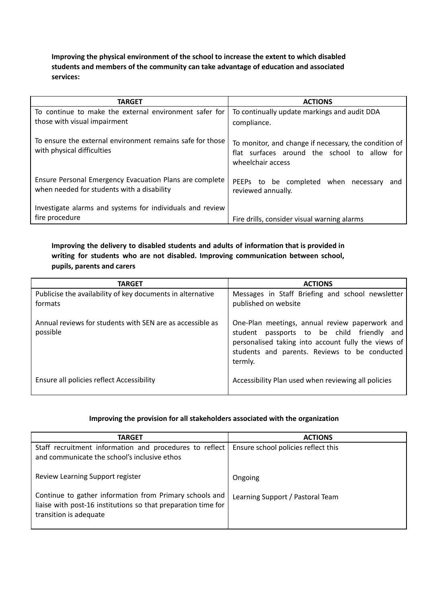**Improving the physical environment of the school to increase the extent to which disabled students and members of the community can take advantage of education and associated services:**

| <b>TARGET</b>                                                                                         | <b>ACTIONS</b>                                                                                                             |
|-------------------------------------------------------------------------------------------------------|----------------------------------------------------------------------------------------------------------------------------|
| To continue to make the external environment safer for                                                | To continually update markings and audit DDA                                                                               |
| those with visual impairment                                                                          | compliance.                                                                                                                |
| To ensure the external environment remains safe for those<br>with physical difficulties               | To monitor, and change if necessary, the condition of<br>flat surfaces around the school to allow for<br>wheelchair access |
| Ensure Personal Emergency Evacuation Plans are complete<br>when needed for students with a disability | PEEPs to be completed when<br>necessary<br>and<br>reviewed annually.                                                       |
| Investigate alarms and systems for individuals and review                                             |                                                                                                                            |
| fire procedure                                                                                        | Fire drills, consider visual warning alarms                                                                                |

## **Improving the delivery to disabled students and adults of information that is provided in writing for students who are not disabled. Improving communication between school, pupils, parents and carers**

| <b>TARGET</b>                                                         | <b>ACTIONS</b>                                                                                                                                                                                                  |
|-----------------------------------------------------------------------|-----------------------------------------------------------------------------------------------------------------------------------------------------------------------------------------------------------------|
| Publicise the availability of key documents in alternative<br>formats | Messages in Staff Briefing and school newsletter<br>published on website                                                                                                                                        |
| Annual reviews for students with SEN are as accessible as<br>possible | One-Plan meetings, annual review paperwork and<br>student passports to be child friendly and<br>personalised taking into account fully the views of<br>students and parents. Reviews to be conducted<br>termly. |
| Ensure all policies reflect Accessibility                             | Accessibility Plan used when reviewing all policies                                                                                                                                                             |

## **Improving the provision for all stakeholders associated with the organization**

| <b>TARGET</b>                                                                                                                                      | <b>ACTIONS</b>                      |
|----------------------------------------------------------------------------------------------------------------------------------------------------|-------------------------------------|
| Staff recruitment information and procedures to reflect<br>and communicate the school's inclusive ethos                                            | Ensure school policies reflect this |
| Review Learning Support register                                                                                                                   | Ongoing                             |
| Continue to gather information from Primary schools and<br>liaise with post-16 institutions so that preparation time for<br>transition is adequate | Learning Support / Pastoral Team    |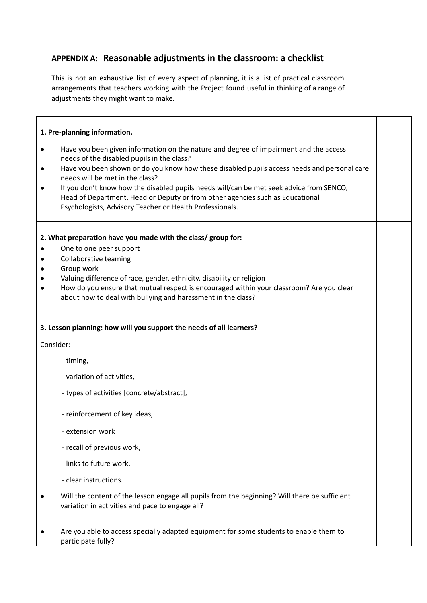# **APPENDIX A: Reasonable adjustments in the classroom: a checklist**

This is not an exhaustive list of every aspect of planning, it is a list of practical classroom arrangements that teachers working with the Project found useful in thinking of a range of adjustments they might want to make.

## **1. Pre-planning information.**

- Have you been given information on the nature and degree of impairment and the access needs of the disabled pupils in the class?
- Have you been shown or do you know how these disabled pupils access needs and personal care needs will be met in the class?
- If you don't know how the disabled pupils needs will/can be met seek advice from SENCO, Head of Department, Head or Deputy or from other agencies such as Educational Psychologists, Advisory Teacher or Health Professionals.

## **2. What preparation have you made with the class/ group for:**

- One to one peer support
- Collaborative teaming
- Group work
- Valuing difference of race, gender, ethnicity, disability or religion
- How do you ensure that mutual respect is encouraged within your classroom? Are you clear about how to deal with bullying and harassment in the class?

## **3. Lesson planning: how will you support the needs of all learners?**

Consider:

- timing,
- variation of activities,
- types of activities [concrete/abstract],
- reinforcement of key ideas,
- extension work
- recall of previous work,
- links to future work,
- clear instructions.
- Will the content of the lesson engage all pupils from the beginning? Will there be sufficient variation in activities and pace to engage all?
- Are you able to access specially adapted equipment for some students to enable them to participate fully?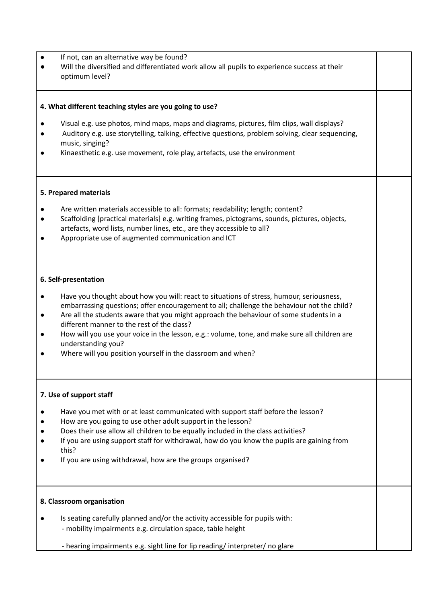| If not, can an alternative way be found? |
|------------------------------------------|
|                                          |

Will the diversified and differentiated work allow all pupils to experience success at their optimum level?

## **4. What different teaching styles are you going to use?**

- Visual e.g. use photos, mind maps, maps and diagrams, pictures, film clips, wall displays?
- Auditory e.g. use storytelling, talking, effective questions, problem solving, clear sequencing, music, singing?
- Kinaesthetic e.g. use movement, role play, artefacts, use the environment

## **5. Prepared materials**

- Are written materials accessible to all: formats: readability: length: content?
- Scaffolding [practical materials] e.g. writing frames, pictograms, sounds, pictures, objects, artefacts, word lists, number lines, etc., are they accessible to all?
- Appropriate use of augmented communication and ICT

## **6. Self-presentation**

- Have you thought about how you will: react to situations of stress, humour, seriousness, embarrassing questions; offer encouragement to all; challenge the behaviour not the child?
- Are all the students aware that you might approach the behaviour of some students in a different manner to the rest of the class?
- How will you use your voice in the lesson, e.g.: volume, tone, and make sure all children are understanding you?
- Where will you position yourself in the classroom and when?

## **7. Use of support staff**

- Have you met with or at least communicated with support staff before the lesson?
- How are you going to use other adult support in the lesson?
- Does their use allow all children to be equally included in the class activities?
- If you are using support staff for withdrawal, how do you know the pupils are gaining from this?
- If you are using withdrawal, how are the groups organised?

#### **8. Classroom organisation**

Is seating carefully planned and/or the activity accessible for pupils with: - mobility impairments e.g. circulation space, table height

- hearing impairments e.g. sight line for lip reading/ interpreter/ no glare